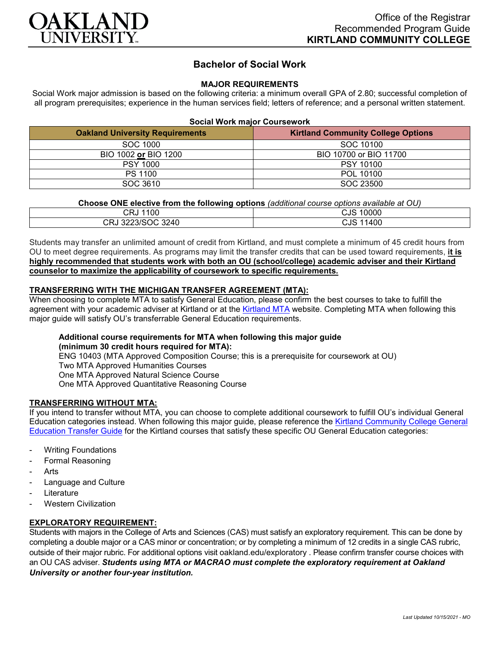

# **Bachelor of Social Work**

# **MAJOR REQUIREMENTS**

Social Work major admission is based on the following criteria: a minimum overall GPA of 2.80; successful completion of all program prerequisites; experience in the human services field; letters of reference; and a personal written statement.

| <b>Oakland University Requirements</b> | <b>Kirtland Community College Options</b> |
|----------------------------------------|-------------------------------------------|
| SOC 1000                               | SOC 10100                                 |
| BIO 1002 or BIO 1200                   | BIO 10700 or BIO 11700                    |
| <b>PSY 1000</b>                        | <b>PSY 10100</b>                          |
| PS 1100                                | POL 10100                                 |
| SOC 3610                               | SOC 23500                                 |

# **Choose ONE elective from the following options** *(additional course options available at OU)*

| 100<br>. .<br>∪кง | 10000<br>∕ کالۍ |
|-------------------|-----------------|
| CRJ 3223/SOC 3240 | 11400<br>CJS    |

Students may transfer an unlimited amount of credit from Kirtland, and must complete a minimum of 45 credit hours from OU to meet degree requirements. As programs may limit the transfer credits that can be used toward requirements, **it is highly recommended that students work with both an OU (school/college) academic adviser and their Kirtland counselor to maximize the applicability of coursework to specific requirements.**

# **TRANSFERRING WITH THE MICHIGAN TRANSFER AGREEMENT (MTA):**

When choosing to complete MTA to satisfy General Education, please confirm the best courses to take to fulfill the agreement with your academic adviser at Kirtland or at the [Kirtland MTA](https://www.kirtland.edu/wp-content/uploads/michigan-transfer-agreement/MTA-Approved-Courses.pdf) website. Completing MTA when following this major guide will satisfy OU's transferrable General Education requirements.

# **Additional course requirements for MTA when following this major guide**

**(minimum 30 credit hours required for MTA):**

ENG 10403 (MTA Approved Composition Course; this is a prerequisite for coursework at OU)

Two MTA Approved Humanities Courses

One MTA Approved Natural Science Course

One MTA Approved Quantitative Reasoning Course

#### **TRANSFERRING WITHOUT MTA:**

If you intend to transfer without MTA, you can choose to complete additional coursework to fulfill OU's individual General Education categories instead. When following this major guide, please reference the [Kirtland Community College General](https://www.oakland.edu/Assets/Oakland/program-guides/kirtland-community-college/university-general-education-requirements/Kirtland%20Gen%20Ed.pdf)  [Education Transfer Guide](https://www.oakland.edu/Assets/Oakland/program-guides/kirtland-community-college/university-general-education-requirements/Kirtland%20Gen%20Ed.pdf) for the Kirtland courses that satisfy these specific OU General Education categories:

- **Writing Foundations**
- Formal Reasoning
- **Arts**
- Language and Culture
- **Literature**
- **Western Civilization**

# **EXPLORATORY REQUIREMENT:**

Students with majors in the College of Arts and Sciences (CAS) must satisfy an exploratory requirement. This can be done by completing a double major or a CAS minor or concentration; or by completing a minimum of 12 credits in a single CAS rubric, outside of their major rubric. For additional options visit [oakland.edu/exploratory](http://www.oakland.edu/exploratory) . Please confirm transfer course choices with an OU CAS adviser. *Students using MTA or MACRAO must complete the exploratory requirement at Oakland University or another four-year institution.*